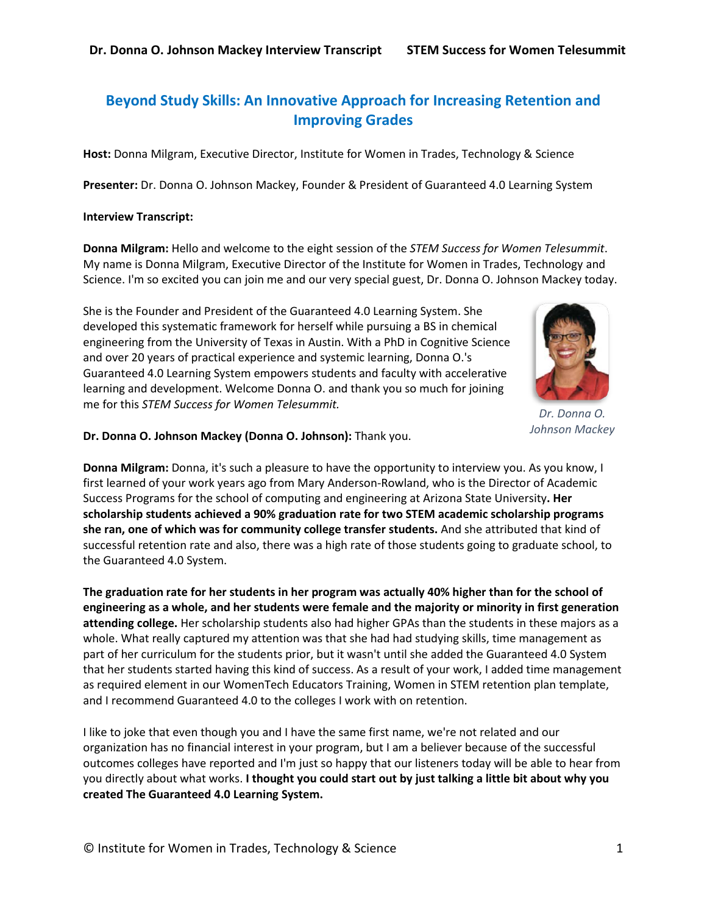# **Beyond Study Skills: An Innovative Approach for Increasing Retention and Improving Grades**

**Host:** Donna Milgram, Executive Director, Institute for Women in Trades, Technology & Science

**Presenter:** Dr. Donna O. Johnson Mackey, Founder & President of Guaranteed 4.0 Learning System

#### **Interview Transcript:**

**Donna Milgram:** Hello and welcome to the eight session of the *STEM Success for Women Telesummit*. My name is Donna Milgram, Executive Director of the Institute for Women in Trades, Technology and Science. I'm so excited you can join me and our very special guest, Dr. Donna O. Johnson Mackey today.

She is the Founder and President of the Guaranteed 4.0 Learning System. She developed this systematic framework for herself while pursuing a BS in chemical engineering from the University of Texas in Austin. With a PhD in Cognitive Science and over 20 years of practical experience and systemic learning, Donna O.'s Guaranteed 4.0 Learning System empowers students and faculty with accelerative learning and development. Welcome Donna O. and thank you so much for joining me for this *STEM Success for Women Telesummit.*



*Dr. Donna O. Johnson Mackey*

**Dr. Donna O. Johnson Mackey (Donna O. Johnson):** Thank you.

**Donna Milgram:** Donna, it's such a pleasure to have the opportunity to interview you. As you know, I first learned of your work years ago from Mary Anderson-Rowland, who is the Director of Academic Success Programs for the school of computing and engineering at Arizona State University**. Her scholarship students achieved a 90% graduation rate for two STEM academic scholarship programs she ran, one of which was for community college transfer students.** And she attributed that kind of successful retention rate and also, there was a high rate of those students going to graduate school, to the Guaranteed 4.0 System.

**The graduation rate for her students in her program was actually 40% higher than for the school of engineering as a whole, and her students were female and the majority or minority in first generation attending college.** Her scholarship students also had higher GPAs than the students in these majors as a whole. What really captured my attention was that she had had studying skills, time management as part of her curriculum for the students prior, but it wasn't until she added the Guaranteed 4.0 System that her students started having this kind of success. As a result of your work, I added time management as required element in our WomenTech Educators Training, Women in STEM retention plan template, and I recommend Guaranteed 4.0 to the colleges I work with on retention.

I like to joke that even though you and I have the same first name, we're not related and our organization has no financial interest in your program, but I am a believer because of the successful outcomes colleges have reported and I'm just so happy that our listeners today will be able to hear from you directly about what works. **I thought you could start out by just talking a little bit about why you created The Guaranteed 4.0 Learning System.**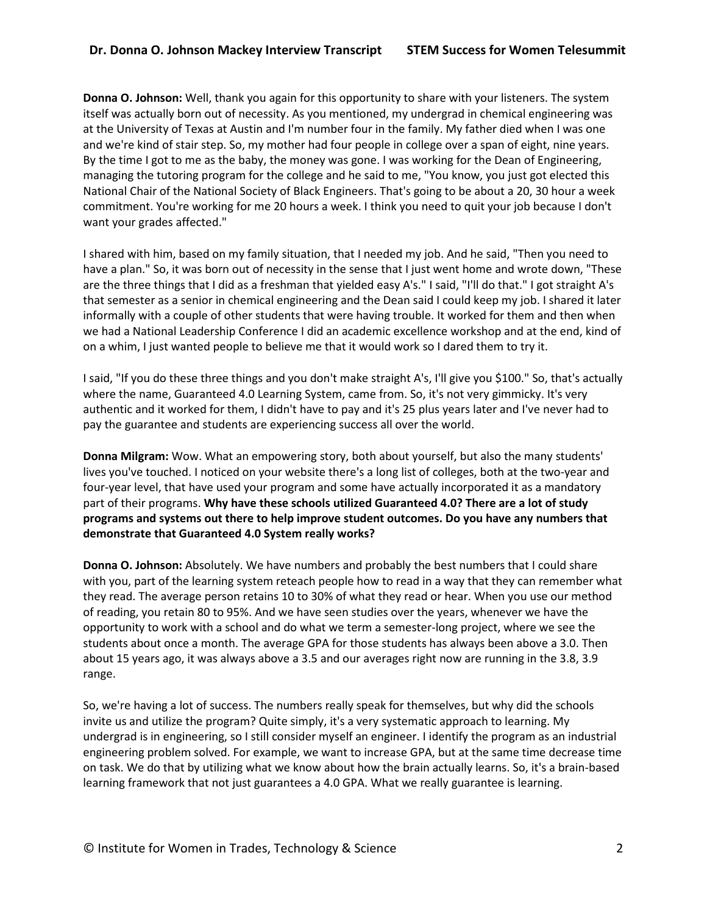**Donna O. Johnson:** Well, thank you again for this opportunity to share with your listeners. The system itself was actually born out of necessity. As you mentioned, my undergrad in chemical engineering was at the University of Texas at Austin and I'm number four in the family. My father died when I was one and we're kind of stair step. So, my mother had four people in college over a span of eight, nine years. By the time I got to me as the baby, the money was gone. I was working for the Dean of Engineering, managing the tutoring program for the college and he said to me, "You know, you just got elected this National Chair of the National Society of Black Engineers. That's going to be about a 20, 30 hour a week commitment. You're working for me 20 hours a week. I think you need to quit your job because I don't want your grades affected."

I shared with him, based on my family situation, that I needed my job. And he said, "Then you need to have a plan." So, it was born out of necessity in the sense that I just went home and wrote down, "These are the three things that I did as a freshman that yielded easy A's." I said, "I'll do that." I got straight A's that semester as a senior in chemical engineering and the Dean said I could keep my job. I shared it later informally with a couple of other students that were having trouble. It worked for them and then when we had a National Leadership Conference I did an academic excellence workshop and at the end, kind of on a whim, I just wanted people to believe me that it would work so I dared them to try it.

I said, "If you do these three things and you don't make straight A's, I'll give you \$100." So, that's actually where the name, Guaranteed 4.0 Learning System, came from. So, it's not very gimmicky. It's very authentic and it worked for them, I didn't have to pay and it's 25 plus years later and I've never had to pay the guarantee and students are experiencing success all over the world.

**Donna Milgram:** Wow. What an empowering story, both about yourself, but also the many students' lives you've touched. I noticed on your website there's a long list of colleges, both at the two-year and four-year level, that have used your program and some have actually incorporated it as a mandatory part of their programs. **Why have these schools utilized Guaranteed 4.0? There are a lot of study programs and systems out there to help improve student outcomes. Do you have any numbers that demonstrate that Guaranteed 4.0 System really works?**

**Donna O. Johnson:** Absolutely. We have numbers and probably the best numbers that I could share with you, part of the learning system reteach people how to read in a way that they can remember what they read. The average person retains 10 to 30% of what they read or hear. When you use our method of reading, you retain 80 to 95%. And we have seen studies over the years, whenever we have the opportunity to work with a school and do what we term a semester-long project, where we see the students about once a month. The average GPA for those students has always been above a 3.0. Then about 15 years ago, it was always above a 3.5 and our averages right now are running in the 3.8, 3.9 range.

So, we're having a lot of success. The numbers really speak for themselves, but why did the schools invite us and utilize the program? Quite simply, it's a very systematic approach to learning. My undergrad is in engineering, so I still consider myself an engineer. I identify the program as an industrial engineering problem solved. For example, we want to increase GPA, but at the same time decrease time on task. We do that by utilizing what we know about how the brain actually learns. So, it's a brain-based learning framework that not just guarantees a 4.0 GPA. What we really guarantee is learning.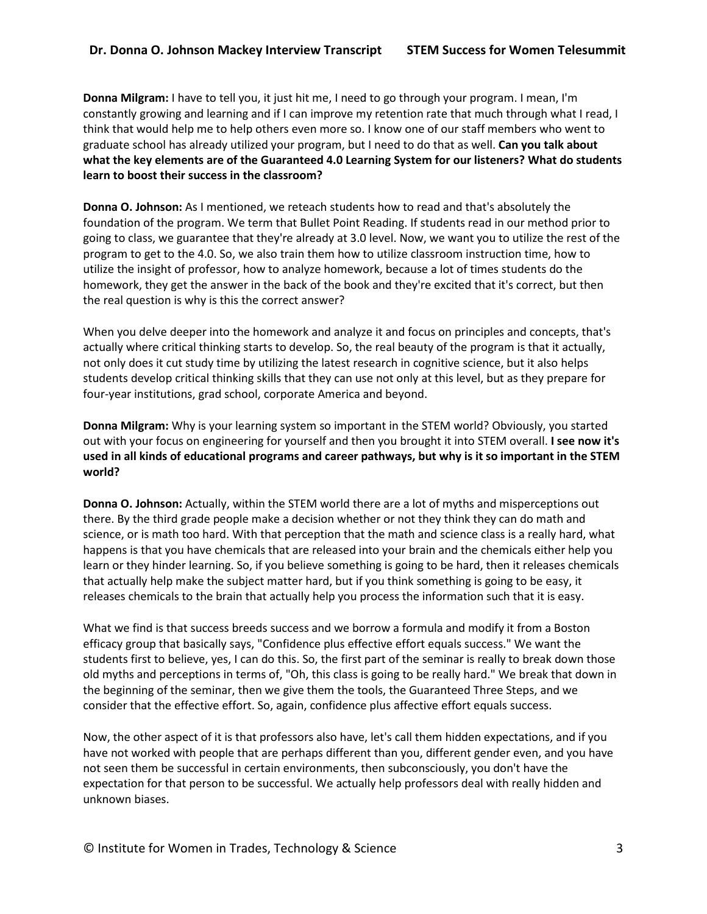**Donna Milgram:** I have to tell you, it just hit me, I need to go through your program. I mean, I'm constantly growing and learning and if I can improve my retention rate that much through what I read, I think that would help me to help others even more so. I know one of our staff members who went to graduate school has already utilized your program, but I need to do that as well. **Can you talk about what the key elements are of the Guaranteed 4.0 Learning System for our listeners? What do students learn to boost their success in the classroom?**

**Donna O. Johnson:** As I mentioned, we reteach students how to read and that's absolutely the foundation of the program. We term that Bullet Point Reading. If students read in our method prior to going to class, we guarantee that they're already at 3.0 level. Now, we want you to utilize the rest of the program to get to the 4.0. So, we also train them how to utilize classroom instruction time, how to utilize the insight of professor, how to analyze homework, because a lot of times students do the homework, they get the answer in the back of the book and they're excited that it's correct, but then the real question is why is this the correct answer?

When you delve deeper into the homework and analyze it and focus on principles and concepts, that's actually where critical thinking starts to develop. So, the real beauty of the program is that it actually, not only does it cut study time by utilizing the latest research in cognitive science, but it also helps students develop critical thinking skills that they can use not only at this level, but as they prepare for four-year institutions, grad school, corporate America and beyond.

**Donna Milgram:** Why is your learning system so important in the STEM world? Obviously, you started out with your focus on engineering for yourself and then you brought it into STEM overall. **I see now it's used in all kinds of educational programs and career pathways, but why is it so important in the STEM world?**

**Donna O. Johnson:** Actually, within the STEM world there are a lot of myths and misperceptions out there. By the third grade people make a decision whether or not they think they can do math and science, or is math too hard. With that perception that the math and science class is a really hard, what happens is that you have chemicals that are released into your brain and the chemicals either help you learn or they hinder learning. So, if you believe something is going to be hard, then it releases chemicals that actually help make the subject matter hard, but if you think something is going to be easy, it releases chemicals to the brain that actually help you process the information such that it is easy.

What we find is that success breeds success and we borrow a formula and modify it from a Boston efficacy group that basically says, "Confidence plus effective effort equals success." We want the students first to believe, yes, I can do this. So, the first part of the seminar is really to break down those old myths and perceptions in terms of, "Oh, this class is going to be really hard." We break that down in the beginning of the seminar, then we give them the tools, the Guaranteed Three Steps, and we consider that the effective effort. So, again, confidence plus affective effort equals success.

Now, the other aspect of it is that professors also have, let's call them hidden expectations, and if you have not worked with people that are perhaps different than you, different gender even, and you have not seen them be successful in certain environments, then subconsciously, you don't have the expectation for that person to be successful. We actually help professors deal with really hidden and unknown biases.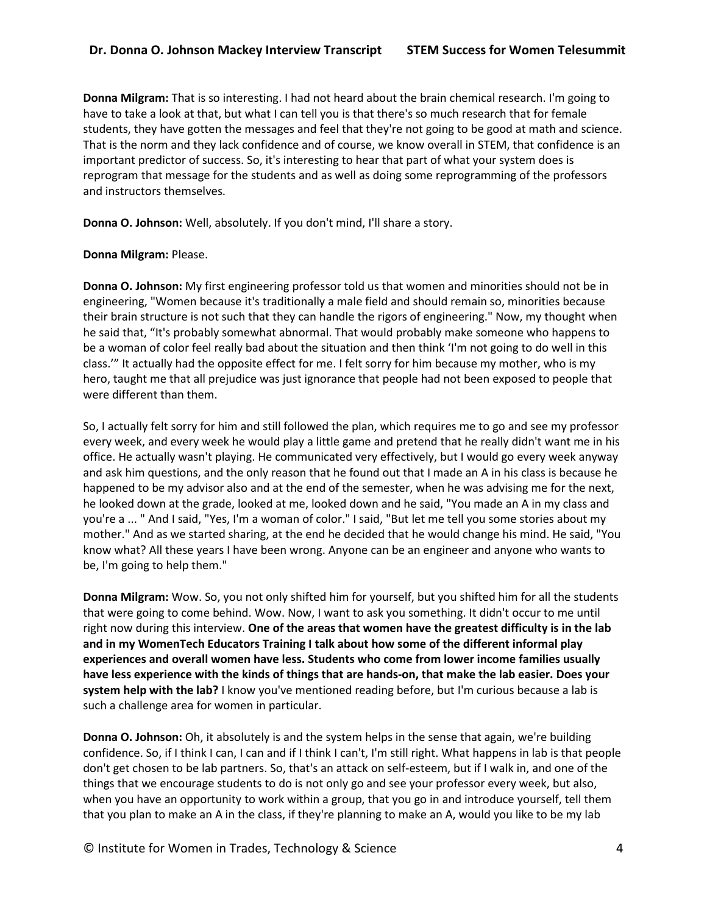**Donna Milgram:** That is so interesting. I had not heard about the brain chemical research. I'm going to have to take a look at that, but what I can tell you is that there's so much research that for female students, they have gotten the messages and feel that they're not going to be good at math and science. That is the norm and they lack confidence and of course, we know overall in STEM, that confidence is an important predictor of success. So, it's interesting to hear that part of what your system does is reprogram that message for the students and as well as doing some reprogramming of the professors and instructors themselves.

**Donna O. Johnson:** Well, absolutely. If you don't mind, I'll share a story.

## **Donna Milgram:** Please.

**Donna O. Johnson:** My first engineering professor told us that women and minorities should not be in engineering, "Women because it's traditionally a male field and should remain so, minorities because their brain structure is not such that they can handle the rigors of engineering." Now, my thought when he said that, "It's probably somewhat abnormal. That would probably make someone who happens to be a woman of color feel really bad about the situation and then think 'I'm not going to do well in this class.'" It actually had the opposite effect for me. I felt sorry for him because my mother, who is my hero, taught me that all prejudice was just ignorance that people had not been exposed to people that were different than them.

So, I actually felt sorry for him and still followed the plan, which requires me to go and see my professor every week, and every week he would play a little game and pretend that he really didn't want me in his office. He actually wasn't playing. He communicated very effectively, but I would go every week anyway and ask him questions, and the only reason that he found out that I made an A in his class is because he happened to be my advisor also and at the end of the semester, when he was advising me for the next, he looked down at the grade, looked at me, looked down and he said, "You made an A in my class and you're a ... " And I said, "Yes, I'm a woman of color." I said, "But let me tell you some stories about my mother." And as we started sharing, at the end he decided that he would change his mind. He said, "You know what? All these years I have been wrong. Anyone can be an engineer and anyone who wants to be, I'm going to help them."

**Donna Milgram:** Wow. So, you not only shifted him for yourself, but you shifted him for all the students that were going to come behind. Wow. Now, I want to ask you something. It didn't occur to me until right now during this interview. **One of the areas that women have the greatest difficulty is in the lab and in my WomenTech Educators Training I talk about how some of the different informal play experiences and overall women have less. Students who come from lower income families usually have less experience with the kinds of things that are hands-on, that make the lab easier. Does your system help with the lab?** I know you've mentioned reading before, but I'm curious because a lab is such a challenge area for women in particular.

**Donna O. Johnson:** Oh, it absolutely is and the system helps in the sense that again, we're building confidence. So, if I think I can, I can and if I think I can't, I'm still right. What happens in lab is that people don't get chosen to be lab partners. So, that's an attack on self-esteem, but if I walk in, and one of the things that we encourage students to do is not only go and see your professor every week, but also, when you have an opportunity to work within a group, that you go in and introduce yourself, tell them that you plan to make an A in the class, if they're planning to make an A, would you like to be my lab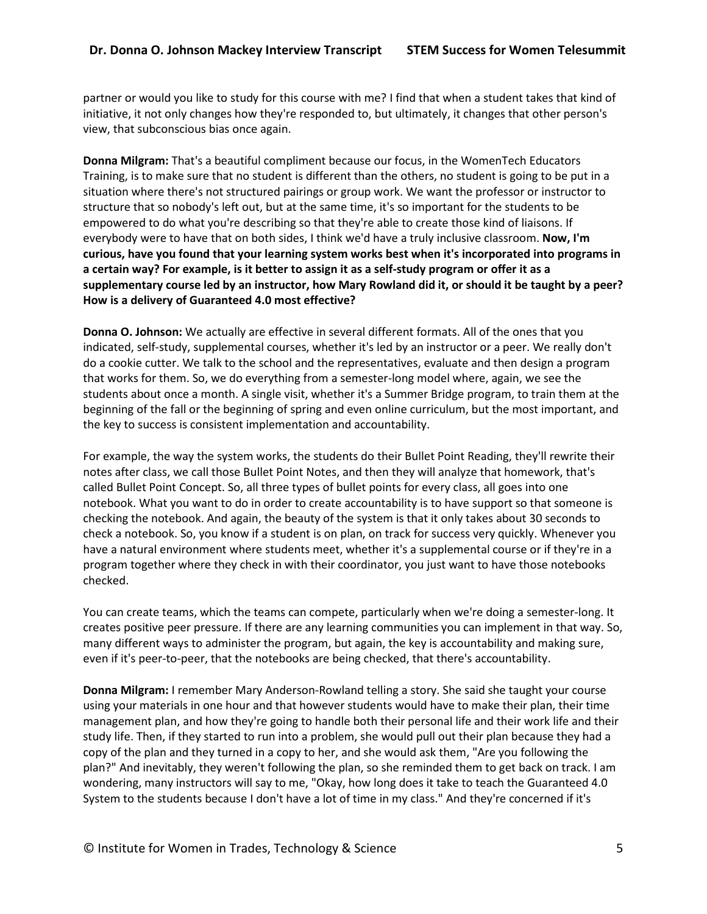partner or would you like to study for this course with me? I find that when a student takes that kind of initiative, it not only changes how they're responded to, but ultimately, it changes that other person's view, that subconscious bias once again.

**Donna Milgram:** That's a beautiful compliment because our focus, in the WomenTech Educators Training, is to make sure that no student is different than the others, no student is going to be put in a situation where there's not structured pairings or group work. We want the professor or instructor to structure that so nobody's left out, but at the same time, it's so important for the students to be empowered to do what you're describing so that they're able to create those kind of liaisons. If everybody were to have that on both sides, I think we'd have a truly inclusive classroom. **Now, I'm curious, have you found that your learning system works best when it's incorporated into programs in a certain way? For example, is it better to assign it as a self-study program or offer it as a supplementary course led by an instructor, how Mary Rowland did it, or should it be taught by a peer? How is a delivery of Guaranteed 4.0 most effective?**

**Donna O. Johnson:** We actually are effective in several different formats. All of the ones that you indicated, self-study, supplemental courses, whether it's led by an instructor or a peer. We really don't do a cookie cutter. We talk to the school and the representatives, evaluate and then design a program that works for them. So, we do everything from a semester-long model where, again, we see the students about once a month. A single visit, whether it's a Summer Bridge program, to train them at the beginning of the fall or the beginning of spring and even online curriculum, but the most important, and the key to success is consistent implementation and accountability.

For example, the way the system works, the students do their Bullet Point Reading, they'll rewrite their notes after class, we call those Bullet Point Notes, and then they will analyze that homework, that's called Bullet Point Concept. So, all three types of bullet points for every class, all goes into one notebook. What you want to do in order to create accountability is to have support so that someone is checking the notebook. And again, the beauty of the system is that it only takes about 30 seconds to check a notebook. So, you know if a student is on plan, on track for success very quickly. Whenever you have a natural environment where students meet, whether it's a supplemental course or if they're in a program together where they check in with their coordinator, you just want to have those notebooks checked.

You can create teams, which the teams can compete, particularly when we're doing a semester-long. It creates positive peer pressure. If there are any learning communities you can implement in that way. So, many different ways to administer the program, but again, the key is accountability and making sure, even if it's peer-to-peer, that the notebooks are being checked, that there's accountability.

**Donna Milgram:** I remember Mary Anderson-Rowland telling a story. She said she taught your course using your materials in one hour and that however students would have to make their plan, their time management plan, and how they're going to handle both their personal life and their work life and their study life. Then, if they started to run into a problem, she would pull out their plan because they had a copy of the plan and they turned in a copy to her, and she would ask them, "Are you following the plan?" And inevitably, they weren't following the plan, so she reminded them to get back on track. I am wondering, many instructors will say to me, "Okay, how long does it take to teach the Guaranteed 4.0 System to the students because I don't have a lot of time in my class." And they're concerned if it's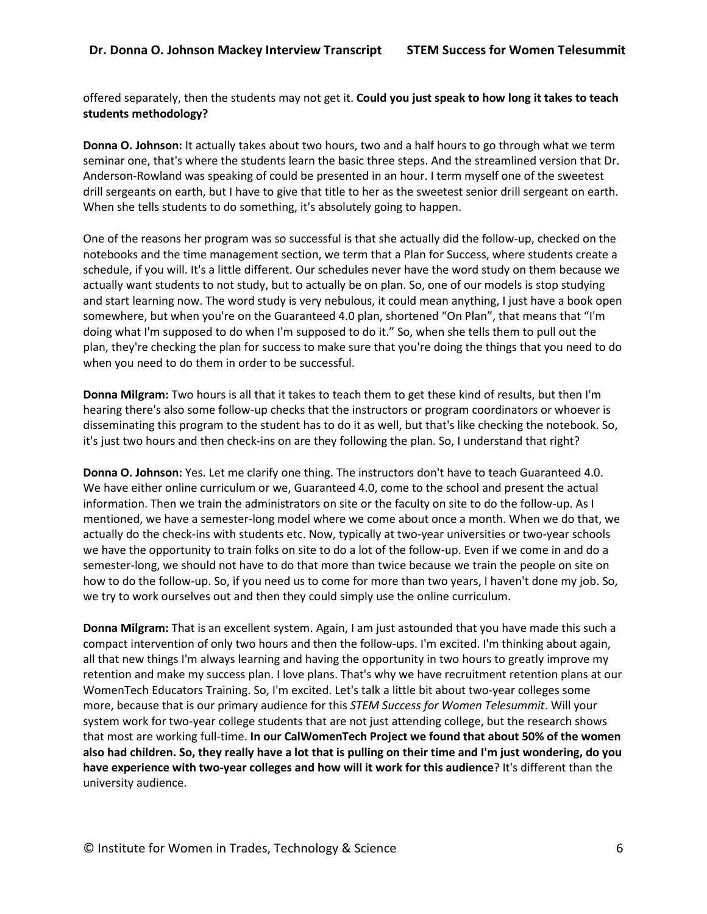offered separately, then the students may not get it. **Could you just speak to how long it takes to teach students methodology?**

**Donna O. Johnson:** It actually takes about two hours, two and a half hours to go through what we term seminar one, that's where the students learn the basic three steps. And the streamlined version that Dr. Anderson-Rowland was speaking of could be presented in an hour. I term myself one of the sweetest drill sergeants on earth, but I have to give that title to her as the sweetest senior drill sergeant on earth. When she tells students to do something, it's absolutely going to happen.

One of the reasons her program was so successful is that she actually did the follow-up, checked on the notebooks and the time management section, we term that a Plan for Success, where students create a schedule, if you will. It's a little different. Our schedules never have the word study on them because we actually want students to not study, but to actually be on plan. So, one of our models is stop studying and start learning now. The word study is very nebulous, it could mean anything, I just have a book open somewhere, but when you're on the Guaranteed 4.0 plan, shortened "On Plan", that means that "I'm doing what I'm supposed to do when I'm supposed to do it." So, when she tells them to pull out the plan, they're checking the plan for success to make sure that you're doing the things that you need to do when you need to do them in order to be successful.

**Donna Milgram:** Two hours is all that it takes to teach them to get these kind of results, but then I'm hearing there's also some follow-up checks that the instructors or program coordinators or whoever is disseminating this program to the student has to do it as well, but that's like checking the notebook. So, it's just two hours and then check-ins on are they following the plan. So, I understand that right?

**Donna O. Johnson:** Yes. Let me clarify one thing. The instructors don't have to teach Guaranteed 4.0. We have either online curriculum or we, Guaranteed 4.0, come to the school and present the actual information. Then we train the administrators on site or the faculty on site to do the follow-up. As I mentioned, we have a semester-long model where we come about once a month. When we do that, we actually do the check-ins with students etc. Now, typically at two-year universities or two-year schools we have the opportunity to train folks on site to do a lot of the follow-up. Even if we come in and do a semester-long, we should not have to do that more than twice because we train the people on site on how to do the follow-up. So, if you need us to come for more than two years, I haven't done my job. So, we try to work ourselves out and then they could simply use the online curriculum.

**Donna Milgram:** That is an excellent system. Again, I am just astounded that you have made this such a compact intervention of only two hours and then the follow-ups. I'm excited. I'm thinking about again, all that new things I'm always learning and having the opportunity in two hours to greatly improve my retention and make my success plan. I love plans. That's why we have recruitment retention plans at our WomenTech Educators Training. So, I'm excited. Let's talk a little bit about two-year colleges some more, because that is our primary audience for this *STEM Success for Women Telesummit*. Will your system work for two-year college students that are not just attending college, but the research shows that most are working full-time. **In our CalWomenTech Project we found that about 50% of the women also had children. So, they really have a lot that is pulling on their time and I'm just wondering, do you have experience with two-year colleges and how will it work for this audience**? It's different than the university audience.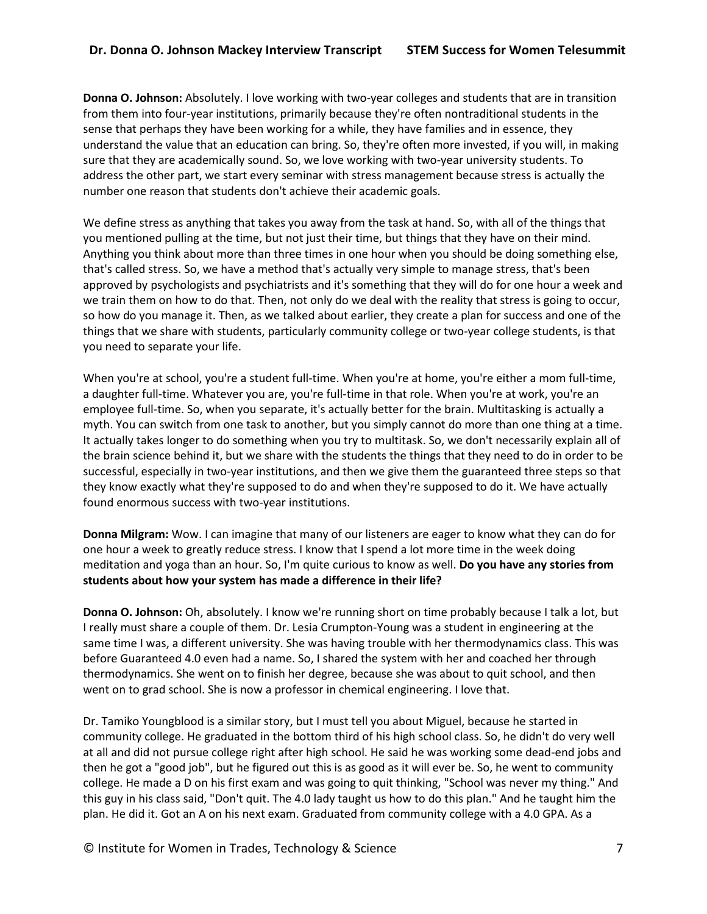**Donna O. Johnson:** Absolutely. I love working with two-year colleges and students that are in transition from them into four-year institutions, primarily because they're often nontraditional students in the sense that perhaps they have been working for a while, they have families and in essence, they understand the value that an education can bring. So, they're often more invested, if you will, in making sure that they are academically sound. So, we love working with two-year university students. To address the other part, we start every seminar with stress management because stress is actually the number one reason that students don't achieve their academic goals.

We define stress as anything that takes you away from the task at hand. So, with all of the things that you mentioned pulling at the time, but not just their time, but things that they have on their mind. Anything you think about more than three times in one hour when you should be doing something else, that's called stress. So, we have a method that's actually very simple to manage stress, that's been approved by psychologists and psychiatrists and it's something that they will do for one hour a week and we train them on how to do that. Then, not only do we deal with the reality that stress is going to occur, so how do you manage it. Then, as we talked about earlier, they create a plan for success and one of the things that we share with students, particularly community college or two-year college students, is that you need to separate your life.

When you're at school, you're a student full-time. When you're at home, you're either a mom full-time, a daughter full-time. Whatever you are, you're full-time in that role. When you're at work, you're an employee full-time. So, when you separate, it's actually better for the brain. Multitasking is actually a myth. You can switch from one task to another, but you simply cannot do more than one thing at a time. It actually takes longer to do something when you try to multitask. So, we don't necessarily explain all of the brain science behind it, but we share with the students the things that they need to do in order to be successful, especially in two-year institutions, and then we give them the guaranteed three steps so that they know exactly what they're supposed to do and when they're supposed to do it. We have actually found enormous success with two-year institutions.

**Donna Milgram:** Wow. I can imagine that many of our listeners are eager to know what they can do for one hour a week to greatly reduce stress. I know that I spend a lot more time in the week doing meditation and yoga than an hour. So, I'm quite curious to know as well. **Do you have any stories from students about how your system has made a difference in their life?**

**Donna O. Johnson:** Oh, absolutely. I know we're running short on time probably because I talk a lot, but I really must share a couple of them. Dr. Lesia Crumpton-Young was a student in engineering at the same time I was, a different university. She was having trouble with her thermodynamics class. This was before Guaranteed 4.0 even had a name. So, I shared the system with her and coached her through thermodynamics. She went on to finish her degree, because she was about to quit school, and then went on to grad school. She is now a professor in chemical engineering. I love that.

Dr. Tamiko Youngblood is a similar story, but I must tell you about Miguel, because he started in community college. He graduated in the bottom third of his high school class. So, he didn't do very well at all and did not pursue college right after high school. He said he was working some dead-end jobs and then he got a "good job", but he figured out this is as good as it will ever be. So, he went to community college. He made a D on his first exam and was going to quit thinking, "School was never my thing." And this guy in his class said, "Don't quit. The 4.0 lady taught us how to do this plan." And he taught him the plan. He did it. Got an A on his next exam. Graduated from community college with a 4.0 GPA. As a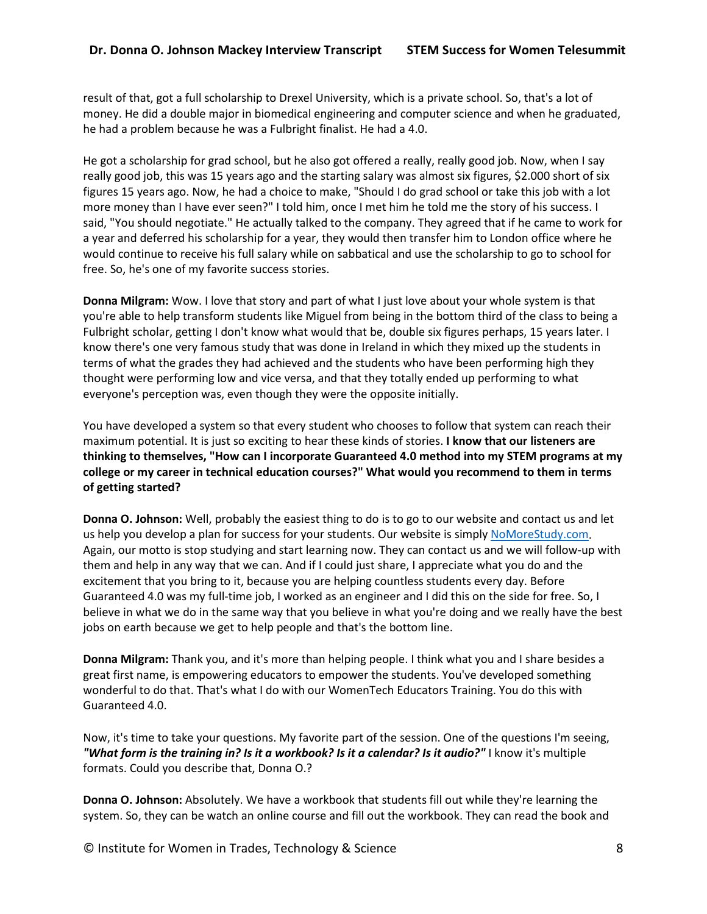result of that, got a full scholarship to Drexel University, which is a private school. So, that's a lot of money. He did a double major in biomedical engineering and computer science and when he graduated, he had a problem because he was a Fulbright finalist. He had a 4.0.

He got a scholarship for grad school, but he also got offered a really, really good job. Now, when I say really good job, this was 15 years ago and the starting salary was almost six figures, \$2.000 short of six figures 15 years ago. Now, he had a choice to make, "Should I do grad school or take this job with a lot more money than I have ever seen?" I told him, once I met him he told me the story of his success. I said, "You should negotiate." He actually talked to the company. They agreed that if he came to work for a year and deferred his scholarship for a year, they would then transfer him to London office where he would continue to receive his full salary while on sabbatical and use the scholarship to go to school for free. So, he's one of my favorite success stories.

**Donna Milgram:** Wow. I love that story and part of what I just love about your whole system is that you're able to help transform students like Miguel from being in the bottom third of the class to being a Fulbright scholar, getting I don't know what would that be, double six figures perhaps, 15 years later. I know there's one very famous study that was done in Ireland in which they mixed up the students in terms of what the grades they had achieved and the students who have been performing high they thought were performing low and vice versa, and that they totally ended up performing to what everyone's perception was, even though they were the opposite initially.

You have developed a system so that every student who chooses to follow that system can reach their maximum potential. It is just so exciting to hear these kinds of stories. **I know that our listeners are thinking to themselves, "How can I incorporate Guaranteed 4.0 method into my STEM programs at my college or my career in technical education courses?" What would you recommend to them in terms of getting started?**

**Donna O. Johnson:** Well, probably the easiest thing to do is to go to our website and contact us and let us help you develop a plan for success for your students. Our website is simply NoMoreStudy.com. Again, our motto is stop studying and start learning now. They can contact us and we will follow-up with them and help in any way that we can. And if I could just share, I appreciate what you do and the excitement that you bring to it, because you are helping countless students every day. Before Guaranteed 4.0 was my full-time job, I worked as an engineer and I did this on the side for free. So, I believe in what we do in the same way that you believe in what you're doing and we really have the best jobs on earth because we get to help people and that's the bottom line.

**Donna Milgram:** Thank you, and it's more than helping people. I think what you and I share besides a great first name, is empowering educators to empower the students. You've developed something wonderful to do that. That's what I do with our WomenTech Educators Training. You do this with Guaranteed 4.0.

Now, it's time to take your questions. My favorite part of the session. One of the questions I'm seeing, *"What form is the training in? Is it a workbook? Is it a calendar? Is it audio?"* I know it's multiple formats. Could you describe that, Donna O.?

**Donna O. Johnson:** Absolutely. We have a workbook that students fill out while they're learning the system. So, they can be watch an online course and fill out the workbook. They can read the book and

© Institute for Women in Trades, Technology & Science 8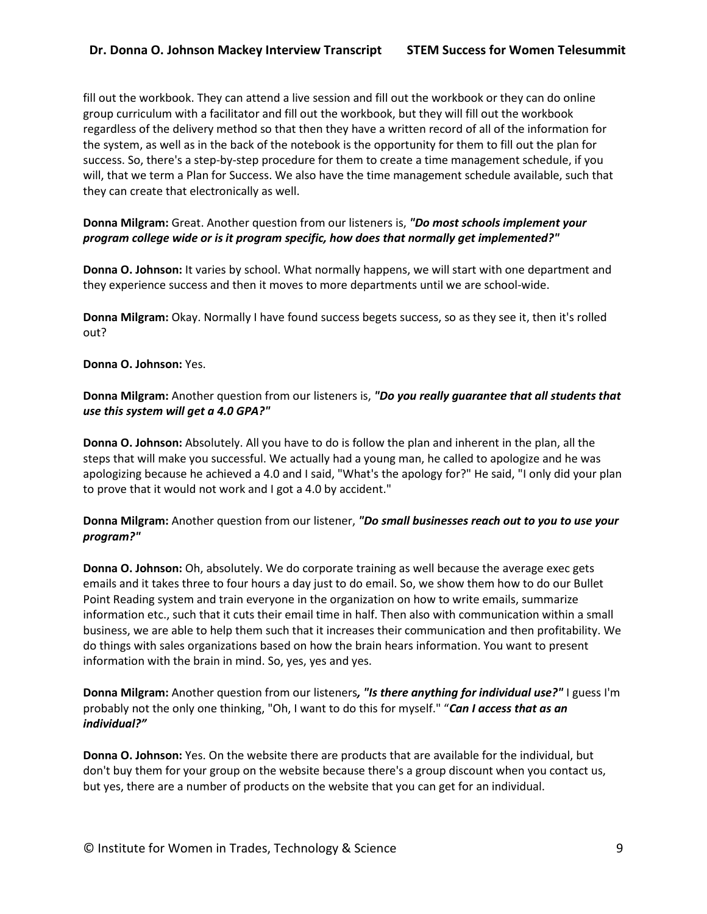# **Dr. Donna O. Johnson Mackey Interview Transcript STEM Success for Women Telesummit**

fill out the workbook. They can attend a live session and fill out the workbook or they can do online group curriculum with a facilitator and fill out the workbook, but they will fill out the workbook regardless of the delivery method so that then they have a written record of all of the information for the system, as well as in the back of the notebook is the opportunity for them to fill out the plan for success. So, there's a step-by-step procedure for them to create a time management schedule, if you will, that we term a Plan for Success. We also have the time management schedule available, such that they can create that electronically as well.

## **Donna Milgram:** Great. Another question from our listeners is, *"Do most schools implement your program college wide or is it program specific, how does that normally get implemented?"*

**Donna O. Johnson:** It varies by school. What normally happens, we will start with one department and they experience success and then it moves to more departments until we are school-wide.

**Donna Milgram:** Okay. Normally I have found success begets success, so as they see it, then it's rolled out?

### **Donna O. Johnson:** Yes.

**Donna Milgram:** Another question from our listeners is, *"Do you really guarantee that all students that use this system will get a 4.0 GPA?"*

**Donna O. Johnson:** Absolutely. All you have to do is follow the plan and inherent in the plan, all the steps that will make you successful. We actually had a young man, he called to apologize and he was apologizing because he achieved a 4.0 and I said, "What's the apology for?" He said, "I only did your plan to prove that it would not work and I got a 4.0 by accident."

## **Donna Milgram:** Another question from our listener, *"Do small businesses reach out to you to use your program?"*

**Donna O. Johnson:** Oh, absolutely. We do corporate training as well because the average exec gets emails and it takes three to four hours a day just to do email. So, we show them how to do our Bullet Point Reading system and train everyone in the organization on how to write emails, summarize information etc., such that it cuts their email time in half. Then also with communication within a small business, we are able to help them such that it increases their communication and then profitability. We do things with sales organizations based on how the brain hears information. You want to present information with the brain in mind. So, yes, yes and yes.

**Donna Milgram:** Another question from our listeners*, "Is there anything for individual use?"* I guess I'm probably not the only one thinking, "Oh, I want to do this for myself." "*Can I access that as an individual?"*

**Donna O. Johnson:** Yes. On the website there are products that are available for the individual, but don't buy them for your group on the website because there's a group discount when you contact us, but yes, there are a number of products on the website that you can get for an individual.